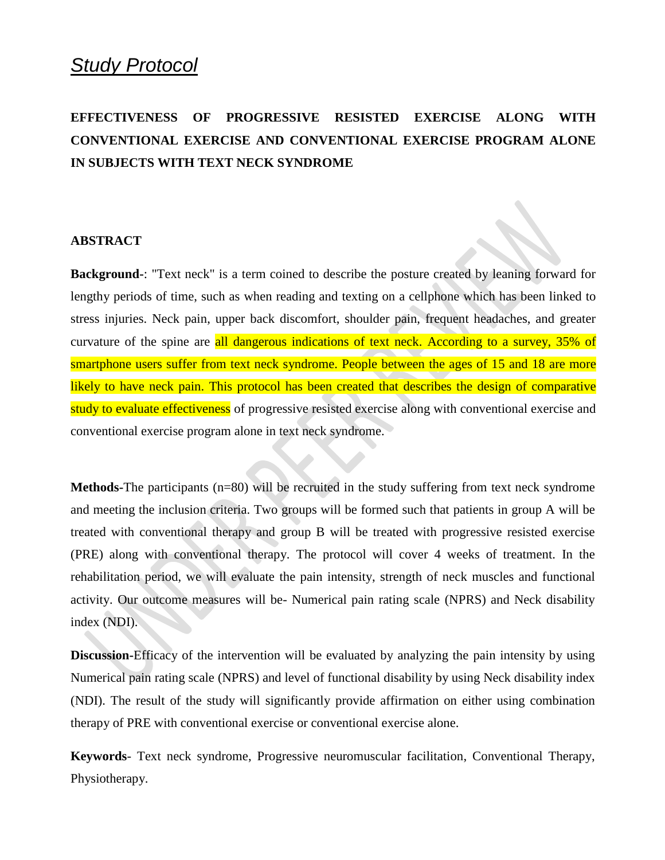# *Study Protocol*

# **EFFECTIVENESS OF PROGRESSIVE RESISTED EXERCISE ALONG WITH CONVENTIONAL EXERCISE AND CONVENTIONAL EXERCISE PROGRAM ALONE IN SUBJECTS WITH TEXT NECK SYNDROME**

#### **ABSTRACT**

**Background-**: "Text neck" is a term coined to describe the posture created by leaning forward for lengthy periods of time, such as when reading and texting on a cellphone which has been linked to stress injuries. Neck pain, upper back discomfort, shoulder pain, frequent headaches, and greater curvature of the spine are all dangerous indications of text neck. According to a survey, 35% of smartphone users suffer from text neck syndrome. People between the ages of 15 and 18 are more likely to have neck pain. This protocol has been created that describes the design of comparative study to evaluate effectiveness of progressive resisted exercise along with conventional exercise and conventional exercise program alone in text neck syndrome.

**Methods-**The participants (n=80) will be recruited in the study suffering from text neck syndrome and meeting the inclusion criteria. Two groups will be formed such that patients in group A will be treated with conventional therapy and group B will be treated with progressive resisted exercise (PRE) along with conventional therapy. The protocol will cover 4 weeks of treatment. In the rehabilitation period, we will evaluate the pain intensity, strength of neck muscles and functional activity. Our outcome measures will be- Numerical pain rating scale (NPRS) and Neck disability index (NDI).

**Discussion-**Efficacy of the intervention will be evaluated by analyzing the pain intensity by using Numerical pain rating scale (NPRS) and level of functional disability by using Neck disability index (NDI). The result of the study will significantly provide affirmation on either using combination therapy of PRE with conventional exercise or conventional exercise alone.

**Keywords**- Text neck syndrome, Progressive neuromuscular facilitation, Conventional Therapy, Physiotherapy.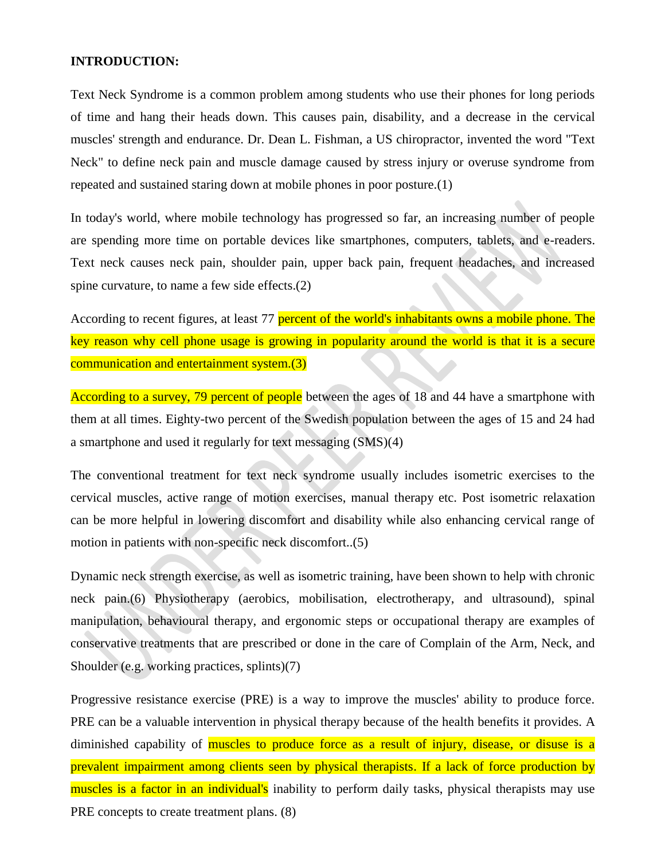#### **INTRODUCTION:**

Text Neck Syndrome is a common problem among students who use their phones for long periods of time and hang their heads down. This causes pain, disability, and a decrease in the cervical muscles' strength and endurance. Dr. Dean L. Fishman, a US chiropractor, invented the word "Text Neck" to define neck pain and muscle damage caused by stress injury or overuse syndrome from repeated and sustained staring down at mobile phones in poor posture.(1)

In today's world, where mobile technology has progressed so far, an increasing number of people are spending more time on portable devices like smartphones, computers, tablets, and e-readers. Text neck causes neck pain, shoulder pain, upper back pain, frequent headaches, and increased spine curvature, to name a few side effects.(2)

According to recent figures, at least 77 percent of the world's inhabitants owns a mobile phone. The key reason why cell phone usage is growing in popularity around the world is that it is a secure communication and entertainment system.(3)

According to a survey, 79 percent of people between the ages of 18 and 44 have a smartphone with them at all times. Eighty-two percent of the Swedish population between the ages of 15 and 24 had a smartphone and used it regularly for text messaging (SMS)(4)

The conventional treatment for text neck syndrome usually includes isometric exercises to the cervical muscles, active range of motion exercises, manual therapy etc. Post isometric relaxation can be more helpful in lowering discomfort and disability while also enhancing cervical range of motion in patients with non-specific neck discomfort..(5)

Dynamic neck strength exercise, as well as isometric training, have been shown to help with chronic neck pain.(6) Physiotherapy (aerobics, mobilisation, electrotherapy, and ultrasound), spinal manipulation, behavioural therapy, and ergonomic steps or occupational therapy are examples of conservative treatments that are prescribed or done in the care of Complain of the Arm, Neck, and Shoulder (e.g. working practices, splints)(7)

Progressive resistance exercise (PRE) is a way to improve the muscles' ability to produce force. PRE can be a valuable intervention in physical therapy because of the health benefits it provides. A diminished capability of muscles to produce force as a result of injury, disease, or disuse is a prevalent impairment among clients seen by physical therapists. If a lack of force production by muscles is a factor in an individual's inability to perform daily tasks, physical therapists may use PRE concepts to create treatment plans.  $(8)$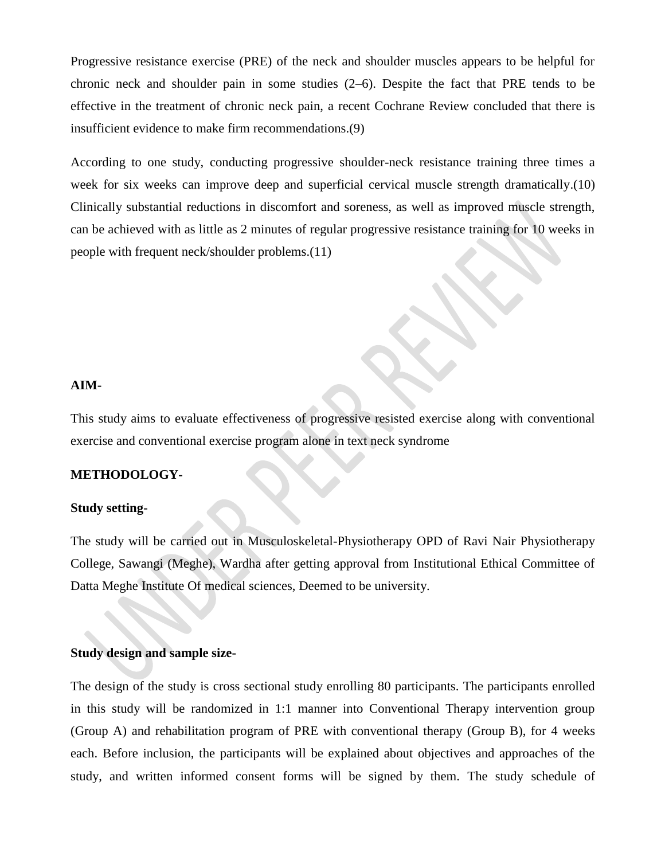Progressive resistance exercise (PRE) of the neck and shoulder muscles appears to be helpful for chronic neck and shoulder pain in some studies (2–6). Despite the fact that PRE tends to be effective in the treatment of chronic neck pain, a recent Cochrane Review concluded that there is insufficient evidence to make firm recommendations.(9)

According to one study, conducting progressive shoulder-neck resistance training three times a week for six weeks can improve deep and superficial cervical muscle strength dramatically.(10) Clinically substantial reductions in discomfort and soreness, as well as improved muscle strength, can be achieved with as little as 2 minutes of regular progressive resistance training for 10 weeks in people with frequent neck/shoulder problems.(11)

#### **AIM-**

This study aims to evaluate effectiveness of progressive resisted exercise along with conventional exercise and conventional exercise program alone in text neck syndrome

## **METHODOLOGY-**

#### **Study setting-**

The study will be carried out in Musculoskeletal-Physiotherapy OPD of Ravi Nair Physiotherapy College, Sawangi (Meghe), Wardha after getting approval from Institutional Ethical Committee of Datta Meghe Institute Of medical sciences, Deemed to be university.

# **Study design and sample size-**

The design of the study is cross sectional study enrolling 80 participants. The participants enrolled in this study will be randomized in 1:1 manner into Conventional Therapy intervention group (Group A) and rehabilitation program of PRE with conventional therapy (Group B), for 4 weeks each. Before inclusion, the participants will be explained about objectives and approaches of the study, and written informed consent forms will be signed by them. The study schedule of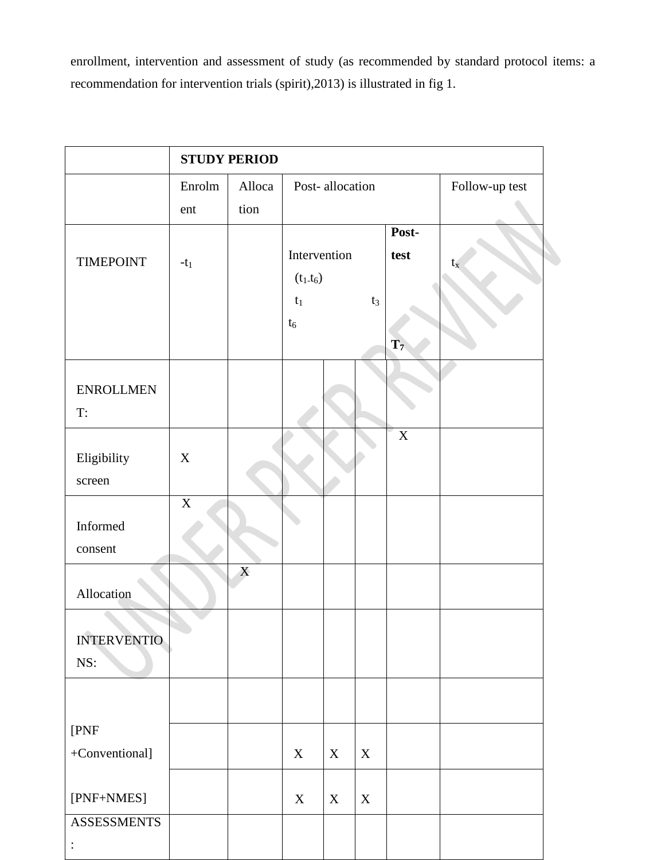enrollment, intervention and assessment of study (as recommended by standard protocol items: a recommendation for intervention trials (spirit),2013) is illustrated in fig 1.

|                                  | <b>STUDY PERIOD</b> |                |                                               |                 |             |                                 |             |  |  |  |  |  |  |
|----------------------------------|---------------------|----------------|-----------------------------------------------|-----------------|-------------|---------------------------------|-------------|--|--|--|--|--|--|
|                                  | Enrolm<br>ent       | Alloca<br>tion |                                               | Post-allocation |             | Follow-up test                  |             |  |  |  |  |  |  |
| <b>TIMEPOINT</b>                 | $-t_1$              |                | Intervention<br>$(t_1.t_6)$<br>$t_1$<br>$t_6$ |                 | $t_3$       | Post-<br>test<br>$\mathbf{T}_7$ | $t_{\rm x}$ |  |  |  |  |  |  |
| <b>ENROLLMEN</b><br>T:           |                     |                |                                               |                 |             |                                 |             |  |  |  |  |  |  |
| Eligibility<br>screen            | $\mathbf X$         |                |                                               |                 |             | $\overline{X}$                  |             |  |  |  |  |  |  |
| Informed<br>consent              | $\mathbf X$         |                |                                               |                 |             |                                 |             |  |  |  |  |  |  |
| Allocation                       |                     | X              |                                               |                 |             |                                 |             |  |  |  |  |  |  |
| <b>INTERVENTIO</b><br>NS:        |                     |                |                                               |                 |             |                                 |             |  |  |  |  |  |  |
| [PNF<br>+Conventional]           |                     |                | $\mathbf X$                                   | X               | $\mathbf X$ |                                 |             |  |  |  |  |  |  |
| [PNF+NMES]<br><b>ASSESSMENTS</b> |                     |                | $\mathbf X$                                   | X               | $\mathbf X$ |                                 |             |  |  |  |  |  |  |
| $\vdots$                         |                     |                |                                               |                 |             |                                 |             |  |  |  |  |  |  |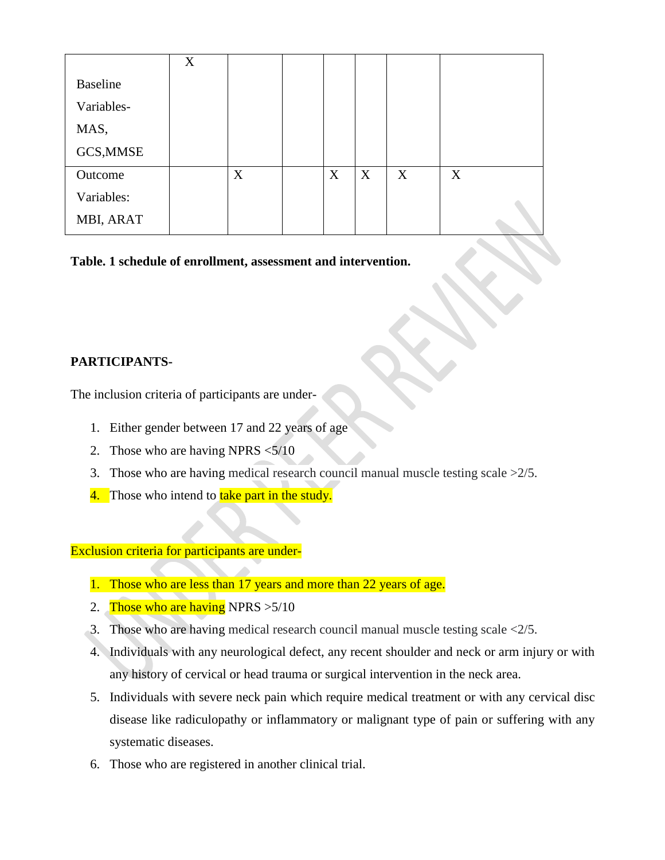|                 | X |   |   |   |   |   |  |
|-----------------|---|---|---|---|---|---|--|
| <b>Baseline</b> |   |   |   |   |   |   |  |
| Variables-      |   |   |   |   |   |   |  |
| MAS,            |   |   |   |   |   |   |  |
| GCS, MMSE       |   |   |   |   |   |   |  |
| Outcome         |   | X | X | X | X | X |  |
| Variables:      |   |   |   |   |   |   |  |
| MBI, ARAT       |   |   |   |   |   |   |  |

**Table. 1 schedule of enrollment, assessment and intervention.**

# **PARTICIPANTS-**

The inclusion criteria of participants are under-

- 1. Either gender between 17 and 22 years of age
- 2. Those who are having NPRS <5/10
- 3. Those who are having medical research council manual muscle testing scale >2/5.
- 4. Those who intend to take part in the study.

Exclusion criteria for participants are under-

- 1. Those who are less than 17 years and more than 22 years of age.
- 2. Those who are having NPRS  $>5/10$
- 3. Those who are having medical research council manual muscle testing scale <2/5.
- 4. Individuals with any neurological defect, any recent shoulder and neck or arm injury or with any history of cervical or head trauma or surgical intervention in the neck area.
- 5. Individuals with severe neck pain which require medical treatment or with any cervical disc disease like radiculopathy or inflammatory or malignant type of pain or suffering with any systematic diseases.
- 6. Those who are registered in another clinical trial.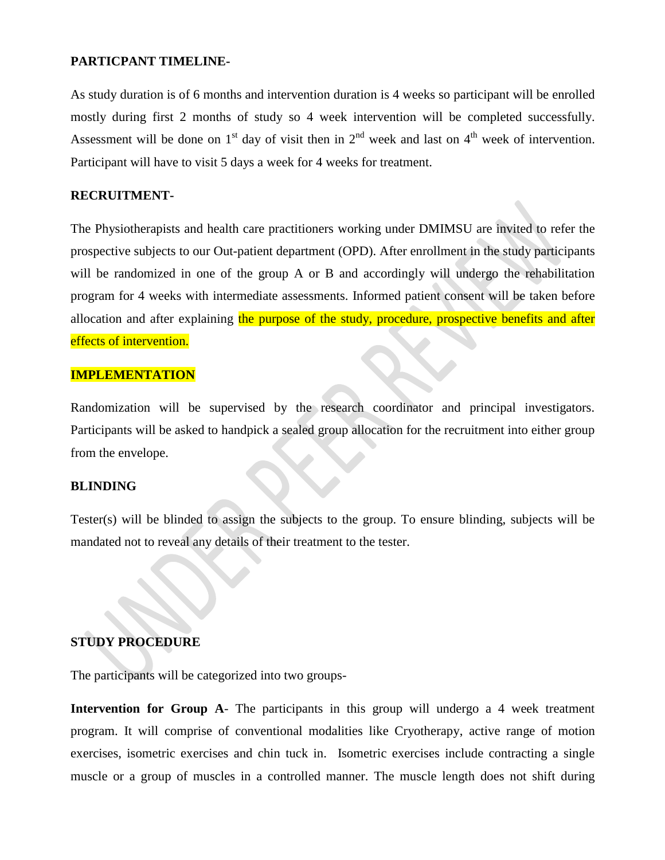#### **PARTICPANT TIMELINE-**

As study duration is of 6 months and intervention duration is 4 weeks so participant will be enrolled mostly during first 2 months of study so 4 week intervention will be completed successfully. Assessment will be done on  $1<sup>st</sup>$  day of visit then in  $2<sup>nd</sup>$  week and last on  $4<sup>th</sup>$  week of intervention. Participant will have to visit 5 days a week for 4 weeks for treatment.

#### **RECRUITMENT-**

The Physiotherapists and health care practitioners working under DMIMSU are invited to refer the prospective subjects to our Out-patient department (OPD). After enrollment in the study participants will be randomized in one of the group A or B and accordingly will undergo the rehabilitation program for 4 weeks with intermediate assessments. Informed patient consent will be taken before allocation and after explaining the purpose of the study, procedure, prospective benefits and after effects of intervention.

## **IMPLEMENTATION**

Randomization will be supervised by the research coordinator and principal investigators. Participants will be asked to handpick a sealed group allocation for the recruitment into either group from the envelope.

#### **BLINDING**

Tester(s) will be blinded to assign the subjects to the group. To ensure blinding, subjects will be mandated not to reveal any details of their treatment to the tester.

# **STUDY PROCEDURE**

The participants will be categorized into two groups-

**Intervention for Group A**- The participants in this group will undergo a 4 week treatment program. It will comprise of conventional modalities like Cryotherapy, active range of motion exercises, isometric exercises and chin tuck in. Isometric exercises include contracting a single muscle or a group of muscles in a controlled manner. The muscle length does not shift during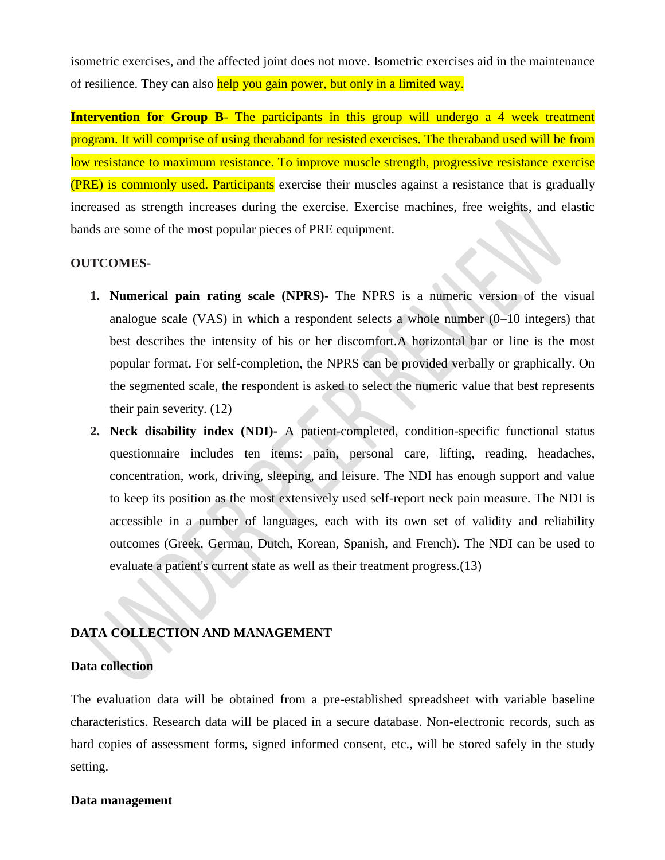isometric exercises, and the affected joint does not move. Isometric exercises aid in the maintenance of resilience. They can also help you gain power, but only in a limited way.

**Intervention for Group B-** The participants in this group will undergo a 4 week treatment program. It will comprise of using theraband for resisted exercises. The theraband used will be from low resistance to maximum resistance. To improve muscle strength, progressive resistance exercise (PRE) is commonly used. Participants exercise their muscles against a resistance that is gradually increased as strength increases during the exercise. Exercise machines, free weights, and elastic bands are some of the most popular pieces of PRE equipment.

### **OUTCOMES-**

- **1. Numerical pain rating scale (NPRS)-** The NPRS is a numeric version of the visual analogue scale (VAS) in which a respondent selects a whole number  $(0-10$  integers) that best describes the intensity of his or her discomfort.A horizontal bar or line is the most popular format**.** For self-completion, the NPRS can be provided verbally or graphically. On the segmented scale, the respondent is asked to select the numeric value that best represents their pain severity. (12)
- **2. Neck disability index (NDI)-** A patient-completed, condition-specific functional status questionnaire includes ten items: pain, personal care, lifting, reading, headaches, concentration, work, driving, sleeping, and leisure. The NDI has enough support and value to keep its position as the most extensively used self-report neck pain measure. The NDI is accessible in a number of languages, each with its own set of validity and reliability outcomes (Greek, German, Dutch, Korean, Spanish, and French). The NDI can be used to evaluate a patient's current state as well as their treatment progress.(13)

## **DATA COLLECTION AND MANAGEMENT**

#### **Data collection**

The evaluation data will be obtained from a pre-established spreadsheet with variable baseline characteristics. Research data will be placed in a secure database. Non-electronic records, such as hard copies of assessment forms, signed informed consent, etc., will be stored safely in the study setting.

#### **Data management**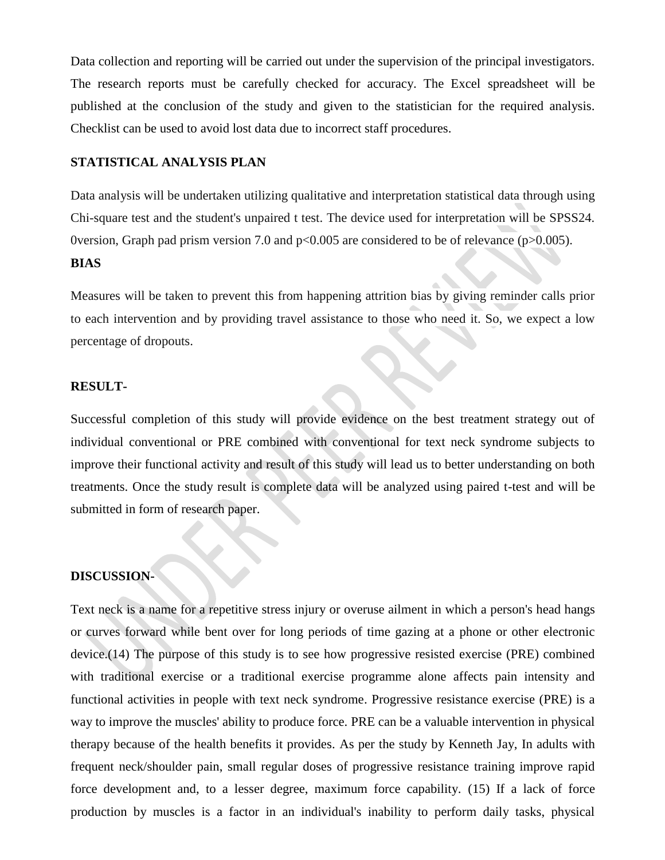Data collection and reporting will be carried out under the supervision of the principal investigators. The research reports must be carefully checked for accuracy. The Excel spreadsheet will be published at the conclusion of the study and given to the statistician for the required analysis. Checklist can be used to avoid lost data due to incorrect staff procedures.

## **STATISTICAL ANALYSIS PLAN**

Data analysis will be undertaken utilizing qualitative and interpretation statistical data through using Chi-square test and the student's unpaired t test. The device used for interpretation will be SPSS24. 0version, Graph pad prism version 7.0 and p<0.005 are considered to be of relevance (p>0.005).

## **BIAS**

Measures will be taken to prevent this from happening attrition bias by giving reminder calls prior to each intervention and by providing travel assistance to those who need it. So, we expect a low percentage of dropouts.

## **RESULT-**

Successful completion of this study will provide evidence on the best treatment strategy out of individual conventional or PRE combined with conventional for text neck syndrome subjects to improve their functional activity and result of this study will lead us to better understanding on both treatments. Once the study result is complete data will be analyzed using paired t-test and will be submitted in form of research paper.

# **DISCUSSION-**

Text neck is a name for a repetitive stress injury or overuse ailment in which a person's head hangs or curves forward while bent over for long periods of time gazing at a phone or other electronic device.(14) The purpose of this study is to see how progressive resisted exercise (PRE) combined with traditional exercise or a traditional exercise programme alone affects pain intensity and functional activities in people with text neck syndrome. Progressive resistance exercise (PRE) is a way to improve the muscles' ability to produce force. PRE can be a valuable intervention in physical therapy because of the health benefits it provides. As per the study by Kenneth Jay, In adults with frequent neck/shoulder pain, small regular doses of progressive resistance training improve rapid force development and, to a lesser degree, maximum force capability. (15) If a lack of force production by muscles is a factor in an individual's inability to perform daily tasks, physical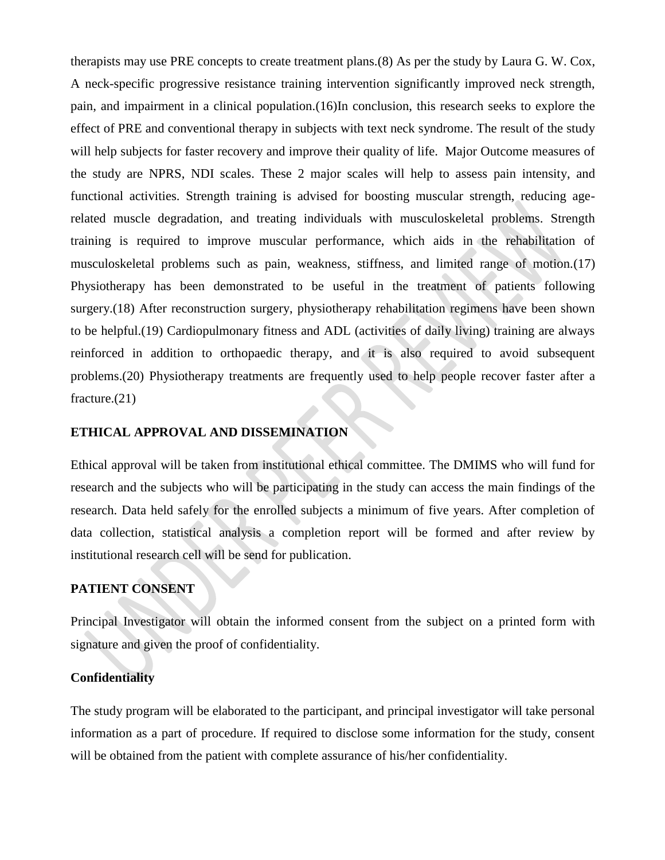therapists may use PRE concepts to create treatment plans.(8) As per the study by Laura G. W. Cox, A neck-specific progressive resistance training intervention significantly improved neck strength, pain, and impairment in a clinical population.(16)In conclusion, this research seeks to explore the effect of PRE and conventional therapy in subjects with text neck syndrome. The result of the study will help subjects for faster recovery and improve their quality of life. Major Outcome measures of the study are NPRS, NDI scales. These 2 major scales will help to assess pain intensity, and functional activities. Strength training is advised for boosting muscular strength, reducing agerelated muscle degradation, and treating individuals with musculoskeletal problems. Strength training is required to improve muscular performance, which aids in the rehabilitation of musculoskeletal problems such as pain, weakness, stiffness, and limited range of motion.(17) Physiotherapy has been demonstrated to be useful in the treatment of patients following surgery.(18) After reconstruction surgery, physiotherapy rehabilitation regimens have been shown to be helpful.(19) Cardiopulmonary fitness and ADL (activities of daily living) training are always reinforced in addition to orthopaedic therapy, and it is also required to avoid subsequent problems.(20) Physiotherapy treatments are frequently used to help people recover faster after a fracture.(21)

## **ETHICAL APPROVAL AND DISSEMINATION**

Ethical approval will be taken from institutional ethical committee. The DMIMS who will fund for research and the subjects who will be participating in the study can access the main findings of the research. Data held safely for the enrolled subjects a minimum of five years. After completion of data collection, statistical analysis a completion report will be formed and after review by institutional research cell will be send for publication.

# **PATIENT CONSENT**

Principal Investigator will obtain the informed consent from the subject on a printed form with signature and given the proof of confidentiality.

# **Confidentiality**

The study program will be elaborated to the participant, and principal investigator will take personal information as a part of procedure. If required to disclose some information for the study, consent will be obtained from the patient with complete assurance of his/her confidentiality.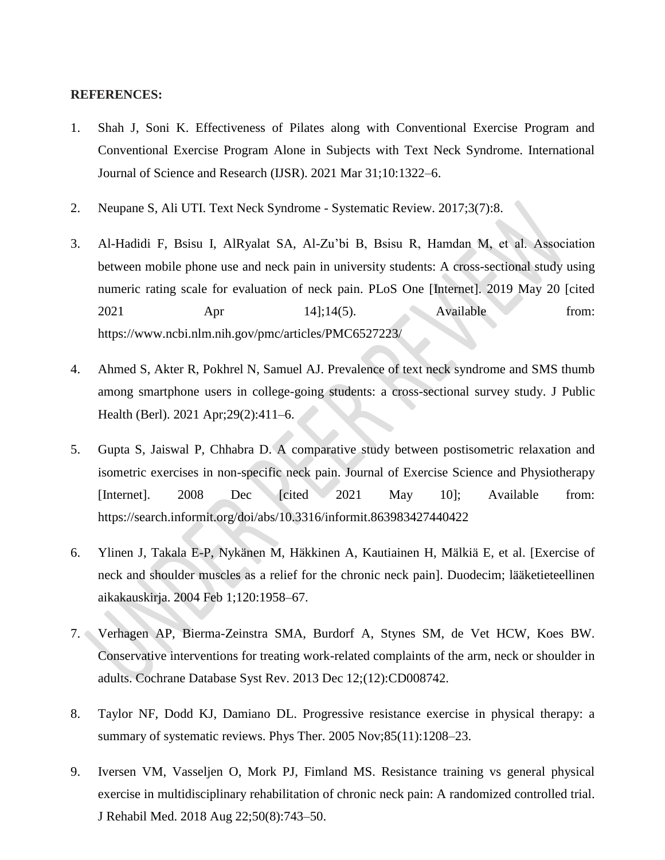#### **REFERENCES:**

- 1. Shah J, Soni K. Effectiveness of Pilates along with Conventional Exercise Program and Conventional Exercise Program Alone in Subjects with Text Neck Syndrome. International Journal of Science and Research (IJSR). 2021 Mar 31;10:1322–6.
- 2. Neupane S, Ali UTI. Text Neck Syndrome Systematic Review. 2017;3(7):8.
- 3. Al-Hadidi F, Bsisu I, AlRyalat SA, Al-Zu'bi B, Bsisu R, Hamdan M, et al. Association between mobile phone use and neck pain in university students: A cross-sectional study using numeric rating scale for evaluation of neck pain. PLoS One [Internet]. 2019 May 20 [cited 2021 Apr 14];14(5). Available from: https://www.ncbi.nlm.nih.gov/pmc/articles/PMC6527223/
- 4. Ahmed S, Akter R, Pokhrel N, Samuel AJ. Prevalence of text neck syndrome and SMS thumb among smartphone users in college-going students: a cross-sectional survey study. J Public Health (Berl). 2021 Apr;29(2):411–6.
- 5. Gupta S, Jaiswal P, Chhabra D. A comparative study between postisometric relaxation and isometric exercises in non-specific neck pain. Journal of Exercise Science and Physiotherapy [Internet]. 2008 Dec [cited 2021 May 10]; Available from: https://search.informit.org/doi/abs/10.3316/informit.863983427440422
- 6. Ylinen J, Takala E-P, Nykänen M, Häkkinen A, Kautiainen H, Mälkiä E, et al. [Exercise of neck and shoulder muscles as a relief for the chronic neck pain]. Duodecim; lääketieteellinen aikakauskirja. 2004 Feb 1;120:1958–67.
- 7. Verhagen AP, Bierma-Zeinstra SMA, Burdorf A, Stynes SM, de Vet HCW, Koes BW. Conservative interventions for treating work-related complaints of the arm, neck or shoulder in adults. Cochrane Database Syst Rev. 2013 Dec 12;(12):CD008742.
- 8. Taylor NF, Dodd KJ, Damiano DL. Progressive resistance exercise in physical therapy: a summary of systematic reviews. Phys Ther. 2005 Nov;85(11):1208–23.
- 9. Iversen VM, Vasseljen O, Mork PJ, Fimland MS. Resistance training vs general physical exercise in multidisciplinary rehabilitation of chronic neck pain: A randomized controlled trial. J Rehabil Med. 2018 Aug 22;50(8):743–50.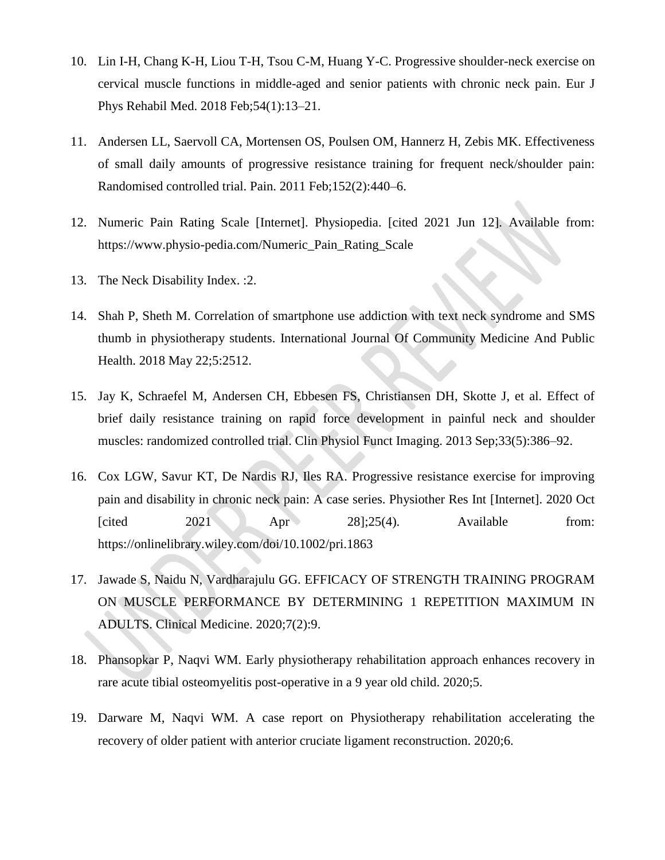- 10. Lin I-H, Chang K-H, Liou T-H, Tsou C-M, Huang Y-C. Progressive shoulder-neck exercise on cervical muscle functions in middle-aged and senior patients with chronic neck pain. Eur J Phys Rehabil Med. 2018 Feb;54(1):13–21.
- 11. Andersen LL, Saervoll CA, Mortensen OS, Poulsen OM, Hannerz H, Zebis MK. Effectiveness of small daily amounts of progressive resistance training for frequent neck/shoulder pain: Randomised controlled trial. Pain. 2011 Feb;152(2):440–6.
- 12. Numeric Pain Rating Scale [Internet]. Physiopedia. [cited 2021 Jun 12]. Available from: https://www.physio-pedia.com/Numeric\_Pain\_Rating\_Scale
- 13. The Neck Disability Index. :2.
- 14. Shah P, Sheth M. Correlation of smartphone use addiction with text neck syndrome and SMS thumb in physiotherapy students. International Journal Of Community Medicine And Public Health. 2018 May 22;5:2512.
- 15. Jay K, Schraefel M, Andersen CH, Ebbesen FS, Christiansen DH, Skotte J, et al. Effect of brief daily resistance training on rapid force development in painful neck and shoulder muscles: randomized controlled trial. Clin Physiol Funct Imaging. 2013 Sep;33(5):386–92.
- 16. Cox LGW, Savur KT, De Nardis RJ, Iles RA. Progressive resistance exercise for improving pain and disability in chronic neck pain: A case series. Physiother Res Int [Internet]. 2020 Oct [cited  $2021$  Apr  $28$ ];25(4). Available from: https://onlinelibrary.wiley.com/doi/10.1002/pri.1863
- 17. Jawade S, Naidu N, Vardharajulu GG. EFFICACY OF STRENGTH TRAINING PROGRAM ON MUSCLE PERFORMANCE BY DETERMINING 1 REPETITION MAXIMUM IN ADULTS. Clinical Medicine. 2020;7(2):9.
- 18. Phansopkar P, Naqvi WM. Early physiotherapy rehabilitation approach enhances recovery in rare acute tibial osteomyelitis post-operative in a 9 year old child. 2020;5.
- 19. Darware M, Naqvi WM. A case report on Physiotherapy rehabilitation accelerating the recovery of older patient with anterior cruciate ligament reconstruction. 2020;6.